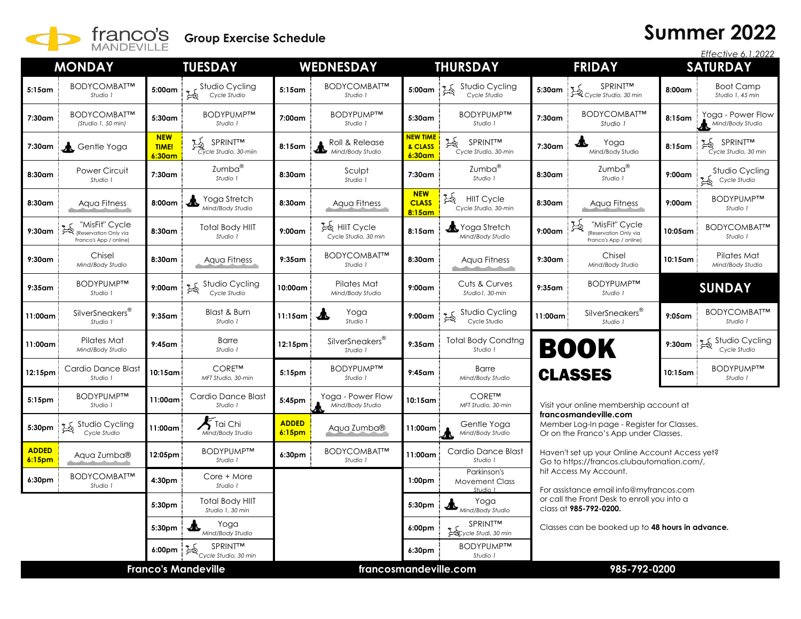

## **Summer 2022**

|                            |                                                                  |                                      |                                                        |                                    |                                         |                                               |                                                |                                                                                                              |                                                                        |           | Effective 6.1.2022                    |  |
|----------------------------|------------------------------------------------------------------|--------------------------------------|--------------------------------------------------------|------------------------------------|-----------------------------------------|-----------------------------------------------|------------------------------------------------|--------------------------------------------------------------------------------------------------------------|------------------------------------------------------------------------|-----------|---------------------------------------|--|
|                            | <b>MONDAY</b>                                                    |                                      | <b>TUESDAY</b>                                         |                                    | <b>WEDNESDAY</b>                        |                                               | <b>THURSDAY</b>                                |                                                                                                              | <b>FRIDAY</b>                                                          |           | <b>SATURDAY</b>                       |  |
| $5:15$ am                  | BODYCOMBAT™<br>Studio 1                                          | 5:00am                               | Studio Cycling<br>Cycle Studio                         | $5:15$ am                          | BODYCOMBAT™<br>Studio 1                 | 5:00am                                        | Studio Cycling<br>Cycle Studio                 | 5:30am                                                                                                       | SPRINT™<br>$\overrightarrow{B}$ Cycle Studio, 30 min                   | $8:00$ am | <b>Boot Camp</b><br>Studio 1, 45 min  |  |
| 7:30am                     | BODYCOMBAT™<br>(Studio 1, 50 min)                                | 5:30am                               | BODYPUMP™<br>Studio 1                                  | 7:00am                             | BODYPUMP™<br>Studio 1                   | 5:30am                                        | <b>BODYPUMPTM</b><br>Studio 1                  | 7:30am                                                                                                       | BODYCOMBAT™<br>Studio 1                                                | 8:15am    | Yoga - Power Flow<br>Mind/Body Studio |  |
| 7:30am                     | Gentle Yoga                                                      | <b>NEW</b><br><b>TIME!</b><br>6:30am | SPRINT <sup>TM</sup><br>Cycle Studio, 30-miin          | 8:15am                             | Roll & Release<br>KUII & ROLLER         | <mark>NEW TIME</mark><br>& CLASS<br>$6:30$ am | 马<br>SPRINT™<br>Cycle Studio, 30-min           | 7:30am                                                                                                       | T<br>Yoga<br>Mind/Body Studio                                          | $8:15$ am | SPRINT™<br>Cycle Studio, 30 min       |  |
| 8:30am                     | <b>Power Circuit</b><br>Studio 1                                 | 7:30am                               | Zumba®<br>Studio 1                                     | 8:30am                             | Sculpt<br>Studio 1                      | 7:30am                                        | Zumba <sup>®</sup><br>Studio 1                 | 8:30am                                                                                                       | Zumba®<br>Studio 1                                                     | $9:00$ am | Studio Cycling<br>Cycle Studio        |  |
| 8:30am                     | Aqua Fitness                                                     | 8:00am                               | Yoga Stretch<br>Mind/Body Studio                       | 8:30am                             | Aqua Fitness                            | <b>NEW</b><br><b>CLASS</b><br>$8:15$ am       | 马<br><b>HIIT Cycle</b><br>Cycle Studio, 30-min | 8:30am                                                                                                       | Aqua Fitness                                                           | 9:00am    | BODYPUMP™<br>Studio 1                 |  |
| $9:30$ am                  | "MisFit" Cycle<br>Reservation Only via<br>Franco's App / online) | 8:30am                               | <b>Total Body HIIT</b><br>Studio 1                     | $9:00$ am                          | 12 HIIT Cycle<br>Cycle Studio, 30 min   | 8:15am                                        | Yoga Stretch<br>Mind/Body Studio               | $9:00$ am                                                                                                    | 乥<br>"MisFit" Cycle<br>(Reservation Only via<br>Franco's App / online) | 10:05am   | BODYCOMBAT™<br>Studio 1               |  |
| $9:30$ am                  | Chisel<br>Mind/Body Studio                                       | 8:30am                               | Aqua Fitness                                           | $9:35$ am                          | BODYCOMBAT™<br>Studio 1                 | 8:30am                                        | Aqua Fitness                                   | 9:30am                                                                                                       | Chisel<br>Mind/Body Studio                                             | 10:15am   | Pilates Mat<br>Mind/Body Studio       |  |
| $9:35$ am                  | <b>BODYPUMPTM</b><br>Studio 1                                    | $9:00$ am                            | Studio Cycling<br>Cycle Studio                         | 10:00am                            | Pilates Mat<br>Mind/Body Studio         | $9:00$ am                                     | Cuts & Curves<br>Studio1, 30-min               | $9:35$ am                                                                                                    | BODYPUMP™<br>Studio 1                                                  |           | <b>SUNDAY</b>                         |  |
| 11:00am                    | SilverSneakers <sup>®</sup><br>Studio 1                          | $9:35$ am                            | Blast & Burn<br>Studio 1                               | $11:15$ am                         | Yoga<br>Æ<br>Studio 1                   | $9:00$ am                                     | Studio Cycling<br>Cycle Studio                 | 11:00am                                                                                                      | SilverSneakers <sup>®</sup><br>Studio 1                                | $9:05$ am | BODYCOMBAT™<br>Studio 1               |  |
| 11:00am                    | Pilates Mat<br>Mind/Body Studio                                  | $9:45$ am                            | <b>Barre</b><br>Studio 1                               | 12:15pm                            | SilverSneakers <sup>®</sup><br>Studio 1 | $9:35$ am                                     | <b>Total Body Condtng</b><br>Studio 1          |                                                                                                              | <b>BOOK</b>                                                            | 9:30am    | Studio Cycling<br>Cycle Studio        |  |
| 12:15pm                    | Cardio Dance Blast<br>Studio 1                                   | 10:15am i                            | CORE™<br>MFT Studio, 30-min                            | 5:15 <sub>pm</sub>                 | BODYPUMP™<br>Studio 1                   | $9:45$ am                                     | <b>Barre</b><br>Mind/Body Studio               | BODYPUMP™<br><b>CLASSES</b><br>10:15am<br>Studio 1                                                           |                                                                        |           |                                       |  |
| 5:15pm                     | BODYPUMP™<br>Studio 1                                            | 11:00am                              | Cardio Dance Blast<br>Studio 1                         | 5:45pm                             | Yoga - Power Flow<br>Mind/Body Studio   | 10:15am                                       | <b>CORETM</b><br>MFT Studio, 30-min            | Visit your online membership account at                                                                      |                                                                        |           |                                       |  |
| 5:30pm                     | Studio Cycling<br>Cycle Studio                                   | 11:00am                              | $\blacktriangleright$ Tai Chi<br>Mind/Body Studio      | <b>ADDED</b><br>6:15 <sub>pm</sub> | Aqua Zumba®                             | $11:00$ am                                    | Gentle Yoga<br>Mind/Body Studio                | francosmandeville.com<br>Member Log-In page - Register for Classes.<br>Or on the Franco's App under Classes. |                                                                        |           |                                       |  |
| <b>ADDED</b><br>6:15pm     | Aqua Zumba®                                                      | 12:05pm                              | <b>BODYPUMPTM</b><br>Studio 1                          | 6:30pm                             | BODYCOMBAT™<br>Studio 1                 | 11:00am                                       | Cardio Dance Blast<br>Studio 1                 | Haven't set up your Online Account Access yet?<br>Go to https://francos.clubautomation.com/,                 |                                                                        |           |                                       |  |
| 6:30pm                     | BODYCOMBAT™<br>Studio 1                                          | 4:30pm                               | Core + More<br>Studio 1                                |                                    |                                         | 1:00 <sub>pm</sub>                            | Parkinson's<br><b>Movement Class</b><br>Chuch2 | hit Access My Account.<br>For assistance email info@myfrancos.com                                            |                                                                        |           |                                       |  |
|                            |                                                                  | 5:30pm                               | <b>Total Body HIIT</b><br>Studio 1, 30 min             |                                    |                                         | 5:30pm                                        | Yoga<br>▲<br>Mind/Body Studio                  |                                                                                                              | or call the Front Desk to enroll you into a<br>class at 985-792-0200.  |           |                                       |  |
|                            |                                                                  | 5:30pm                               | Yoga<br>љ<br>Mind/Body Studio                          |                                    |                                         | 6:00pm                                        | SPRINT™<br>Secycle Studi, 30 min               | Classes can be booked up to 48 hours in advance.                                                             |                                                                        |           |                                       |  |
|                            |                                                                  | 6:00pm                               | <b>SPRINT<sup>M</sup></b><br>异<br>Cycle Studio, 30 min |                                    |                                         | 6:30pm                                        | <b>BODYPUMPTM</b><br>Studio 1                  |                                                                                                              |                                                                        |           |                                       |  |
| <b>Franco's Mandeville</b> |                                                                  |                                      |                                                        |                                    | francosmandeville.com                   |                                               |                                                | 985-792-0200                                                                                                 |                                                                        |           |                                       |  |